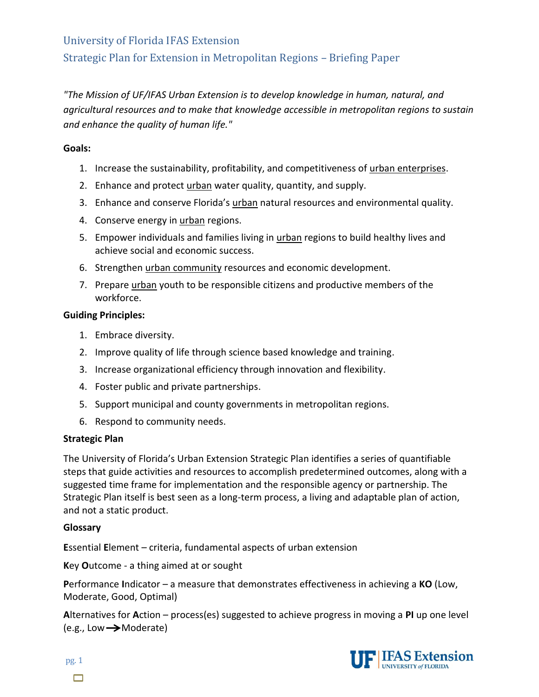# University of Florida IFAS Extension Strategic Plan for Extension in Metropolitan Regions – Briefing Paper

*"The Mission of UF/IFAS Urban Extension is to develop knowledge in human, natural, and agricultural resources and to make that knowledge accessible in metropolitan regions to sustain and enhance the quality of human life."*

### **Goals:**

- 1. Increase the sustainability, profitability, and competitiveness of urban enterprises.
- 2. Enhance and protect urban water quality, quantity, and supply.
- 3. Enhance and conserve Florida's urban natural resources and environmental quality.
- 4. Conserve energy in urban regions.
- 5. Empower individuals and families living in urban regions to build healthy lives and achieve social and economic success.
- 6. Strengthen urban community resources and economic development.
- 7. Prepare urban youth to be responsible citizens and productive members of the workforce.

### **Guiding Principles:**

- 1. Embrace diversity.
- 2. Improve quality of life through science based knowledge and training.
- 3. Increase organizational efficiency through innovation and flexibility.
- 4. Foster public and private partnerships.
- 5. Support municipal and county governments in metropolitan regions.
- 6. Respond to community needs.

### **Strategic Plan**

The University of Florida's Urban Extension Strategic Plan identifies a series of quantifiable steps that guide activities and resources to accomplish predetermined outcomes, along with a suggested time frame for implementation and the responsible agency or partnership. The Strategic Plan itself is best seen as a long-term process, a living and adaptable plan of action, and not a static product.

### **Glossary**

**E**ssential **E**lement – criteria, fundamental aspects of urban extension

**K**ey **O**utcome - a thing aimed at or sought

**P**erformance **I**ndicator – a measure that demonstrates effectiveness in achieving a **KO** (Low, Moderate, Good, Optimal)

**A**lternatives for **A**ction – process(es) suggested to achieve progress in moving a **PI** up one level  $(e.g., Low \rightarrow Model$ 



pg. 1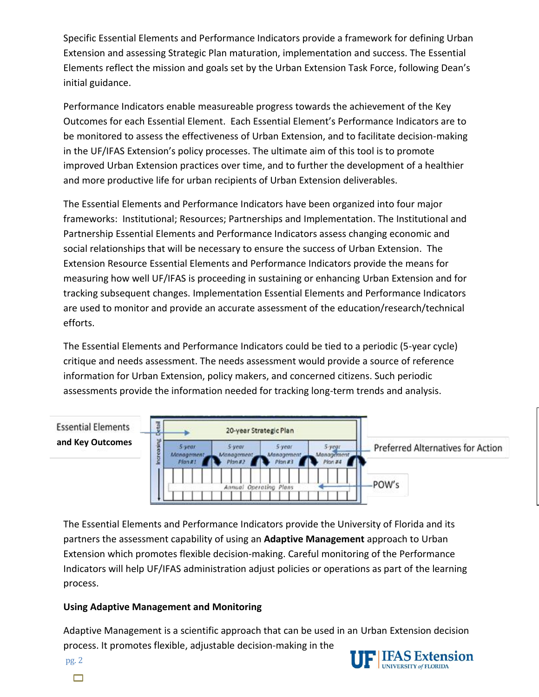Specific Essential Elements and Performance Indicators provide a framework for defining Urban Extension and assessing Strategic Plan maturation, implementation and success. The Essential Elements reflect the mission and goals set by the Urban Extension Task Force, following Dean's initial guidance.

Performance Indicators enable measureable progress towards the achievement of the Key Outcomes for each Essential Element. Each Essential Element's Performance Indicators are to be monitored to assess the effectiveness of Urban Extension, and to facilitate decision-making in the UF/IFAS Extension's policy processes. The ultimate aim of this tool is to promote improved Urban Extension practices over time, and to further the development of a healthier and more productive life for urban recipients of Urban Extension deliverables.

The Essential Elements and Performance Indicators have been organized into four major frameworks: Institutional; Resources; Partnerships and Implementation. The Institutional and Partnership Essential Elements and Performance Indicators assess changing economic and social relationships that will be necessary to ensure the success of Urban Extension. The Extension Resource Essential Elements and Performance Indicators provide the means for measuring how well UF/IFAS is proceeding in sustaining or enhancing Urban Extension and for tracking subsequent changes. Implementation Essential Elements and Performance Indicators are used to monitor and provide an accurate assessment of the education/research/technical efforts.

The Essential Elements and Performance Indicators could be tied to a periodic (5-year cycle) critique and needs assessment. The needs assessment would provide a source of reference information for Urban Extension, policy makers, and concerned citizens. Such periodic assessments provide the information needed for tracking long-term trends and analysis.

#### **Chestail Essential Elements** 20-year Strategic Plan **and Key Outcomes**Increasing 5-yegr 5 year. 5-year **Preferred Alternatives for Action**  $5$ -year Management Management Management Management Plan#1 Plan #2 Plan #3 Plan #4 POW's Operating Plan:

The Essential Elements and Performance Indicators provide the University of Florida and its partners the assessment capability of using an **Adaptive Management** approach to Urban Extension which promotes flexible decision-making. Careful monitoring of the Performance Indicators will help UF/IFAS administration adjust policies or operations as part of the learning process.

# **Using Adaptive Management and Monitoring**

Adaptive Management is a scientific approach that can be used in an Urban Extension decision process. It promotes flexible, adjustable decision-making in the